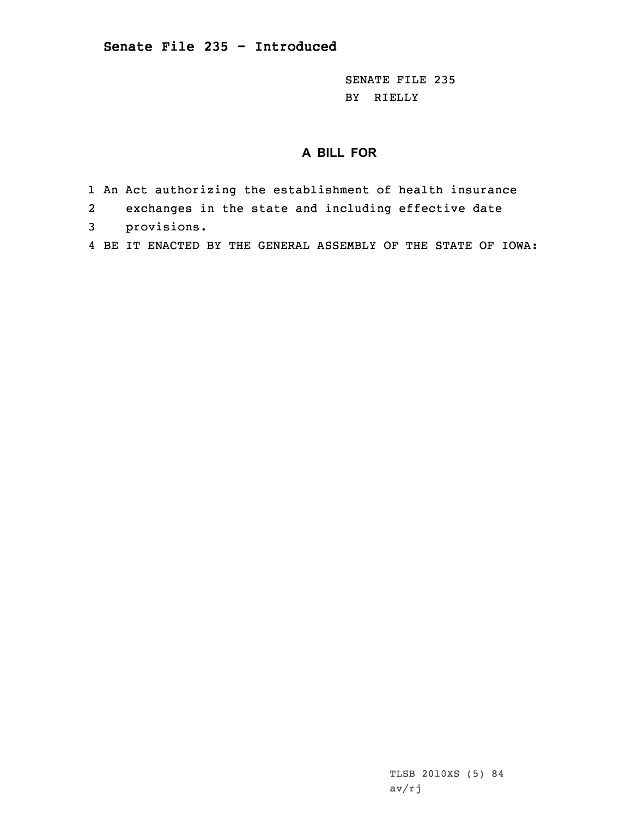SENATE FILE 235 BY RIELLY

## **A BILL FOR**

- 1 An Act authorizing the establishment of health insurance
- 2exchanges in the state and including effective date
- 3 provisions.
- 4 BE IT ENACTED BY THE GENERAL ASSEMBLY OF THE STATE OF IOWA: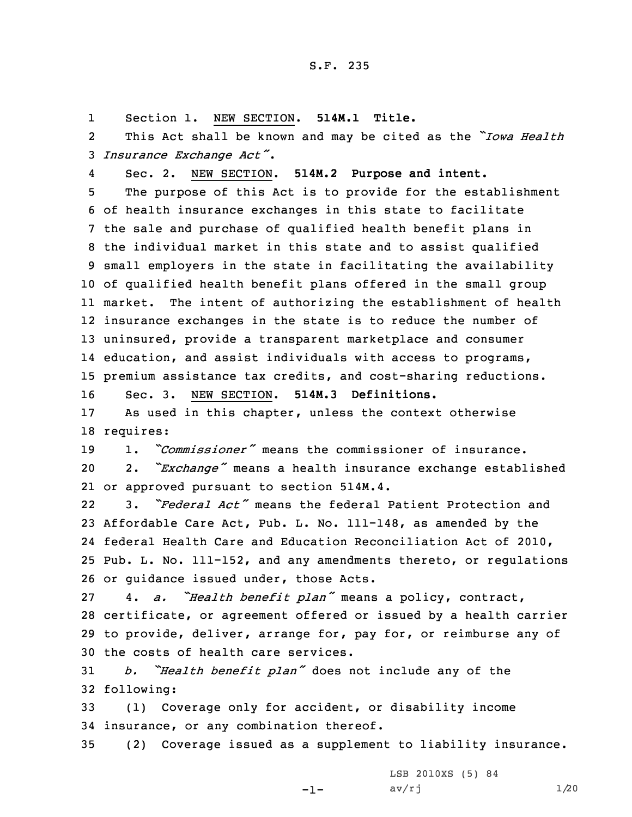1Section 1. NEW SECTION. **514M.1 Title.**

2 This Act shall be known and may be cited as the *"Iowa Health* <sup>3</sup> *Insurance Exchange Act"*.

4Sec. 2. NEW SECTION. **514M.2 Purpose and intent.**

 The purpose of this Act is to provide for the establishment of health insurance exchanges in this state to facilitate the sale and purchase of qualified health benefit plans in the individual market in this state and to assist qualified small employers in the state in facilitating the availability of qualified health benefit plans offered in the small group 11 market. The intent of authorizing the establishment of health insurance exchanges in the state is to reduce the number of uninsured, provide <sup>a</sup> transparent marketplace and consumer education, and assist individuals with access to programs, premium assistance tax credits, and cost-sharing reductions.

16 Sec. 3. NEW SECTION. **514M.3 Definitions.**

17 As used in this chapter, unless the context otherwise 18 requires:

19 1. *"Commissioner"* means the commissioner of insurance. <sup>20</sup> 2. *"Exchange"* means <sup>a</sup> health insurance exchange established 21 or approved pursuant to section 514M.4.

22 3. *"Federal Act"* means the federal Patient Protection and Affordable Care Act, Pub. L. No. 111-148, as amended by the federal Health Care and Education Reconciliation Act of 2010, Pub. L. No. 111-152, and any amendments thereto, or regulations or guidance issued under, those Acts.

 4. *a. "Health benefit plan"* means <sup>a</sup> policy, contract, certificate, or agreement offered or issued by <sup>a</sup> health carrier to provide, deliver, arrange for, pay for, or reimburse any of the costs of health care services.

<sup>31</sup> *b. "Health benefit plan"* does not include any of the 32 following:

33 (1) Coverage only for accident, or disability income 34 insurance, or any combination thereof.

35 (2) Coverage issued as <sup>a</sup> supplement to liability insurance.

-1-

LSB 2010XS (5) 84  $av/rj$  1/20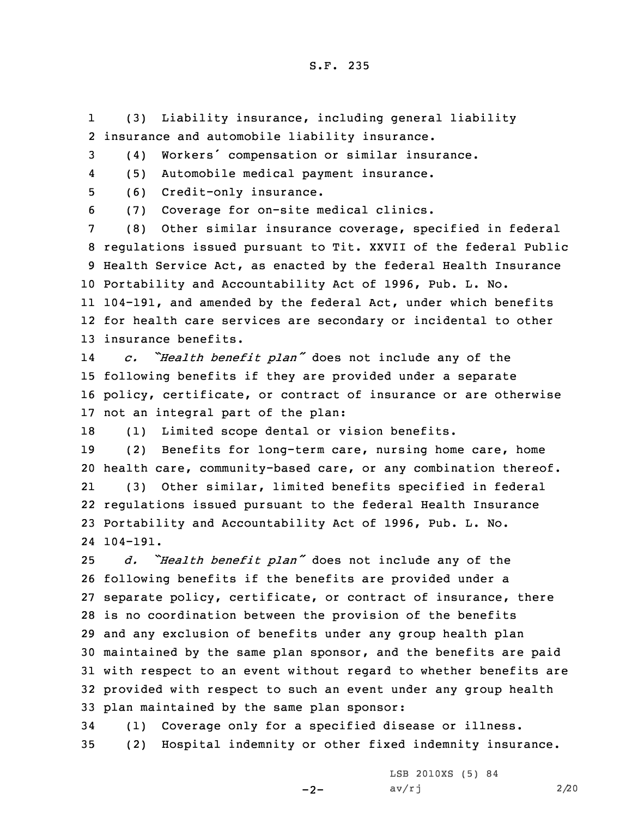1 (3) Liability insurance, including general liability 2 insurance and automobile liability insurance.

<sup>3</sup> (4) Workers' compensation or similar insurance.

4(5) Automobile medical payment insurance.

5 (6) Credit-only insurance.

6 (7) Coverage for on-site medical clinics.

 (8) Other similar insurance coverage, specified in federal regulations issued pursuant to Tit. XXVII of the federal Public Health Service Act, as enacted by the federal Health Insurance Portability and Accountability Act of 1996, Pub. L. No. 104-191, and amended by the federal Act, under which benefits for health care services are secondary or incidental to other insurance benefits.

14 *c. "Health benefit plan"* does not include any of the 15 following benefits if they are provided under <sup>a</sup> separate 16 policy, certificate, or contract of insurance or are otherwise 17 not an integral part of the plan:

18 (1) Limited scope dental or vision benefits.

19 (2) Benefits for long-term care, nursing home care, home 20 health care, community-based care, or any combination thereof. 21 (3) Other similar, limited benefits specified in federal 22 regulations issued pursuant to the federal Health Insurance 23 Portability and Accountability Act of 1996, Pub. L. No. 24 104-191.

 *d. "Health benefit plan"* does not include any of the following benefits if the benefits are provided under <sup>a</sup> separate policy, certificate, or contract of insurance, there is no coordination between the provision of the benefits and any exclusion of benefits under any group health plan maintained by the same plan sponsor, and the benefits are paid with respect to an event without regard to whether benefits are provided with respect to such an event under any group health plan maintained by the same plan sponsor:

34 (1) Coverage only for <sup>a</sup> specified disease or illness. 35 (2) Hospital indemnity or other fixed indemnity insurance.

 $-2-$ 

LSB 2010XS (5) 84  $av/rj$  2/20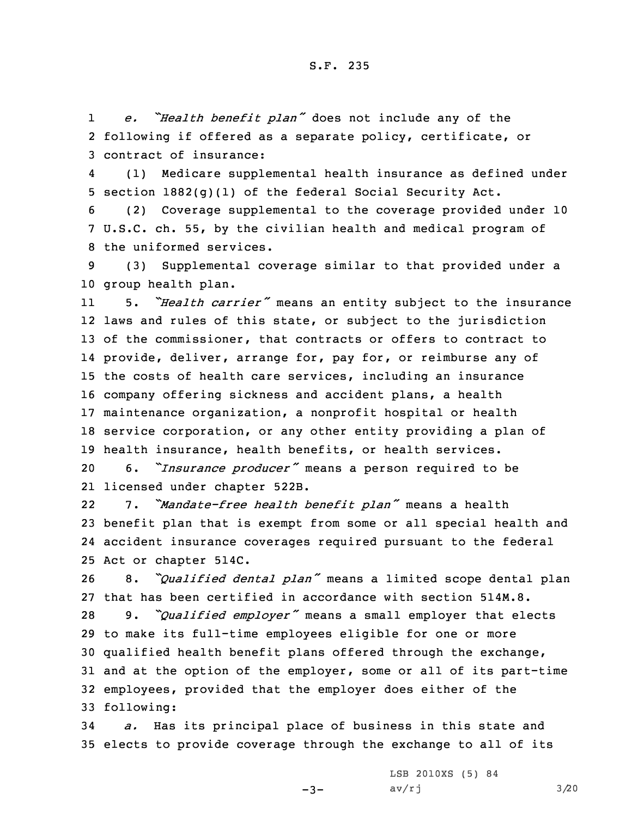1 *e. "Health benefit plan"* does not include any of the 2 following if offered as <sup>a</sup> separate policy, certificate, or 3 contract of insurance:

4 (1) Medicare supplemental health insurance as defined under 5 section 1882(g)(1) of the federal Social Security Act.

6 (2) Coverage supplemental to the coverage provided under 10 7 U.S.C. ch. 55, by the civilian health and medical program of 8 the uniformed services.

9 (3) Supplemental coverage similar to that provided under <sup>a</sup> 10 group health plan.

11 5. *"Health carrier"* means an entity subject to the insurance laws and rules of this state, or subject to the jurisdiction 13 of the commissioner, that contracts or offers to contract to provide, deliver, arrange for, pay for, or reimburse any of the costs of health care services, including an insurance company offering sickness and accident plans, <sup>a</sup> health maintenance organization, <sup>a</sup> nonprofit hospital or health service corporation, or any other entity providing <sup>a</sup> plan of health insurance, health benefits, or health services.

<sup>20</sup> 6. *"Insurance producer"* means <sup>a</sup> person required to be 21 licensed under chapter 522B.

22 7. *"Mandate-free health benefit plan"* means <sup>a</sup> health 23 benefit plan that is exempt from some or all special health and 24 accident insurance coverages required pursuant to the federal 25 Act or chapter 514C.

 8. *"Qualified dental plan"* means <sup>a</sup> limited scope dental plan that has been certified in accordance with section 514M.8. 9. *"Qualified employer"* means <sup>a</sup> small employer that elects to make its full-time employees eligible for one or more qualified health benefit plans offered through the exchange, and at the option of the employer, some or all of its part-time employees, provided that the employer does either of the following:

34 *a.* Has its principal place of business in this state and 35 elects to provide coverage through the exchange to all of its

 $-3-$ 

LSB 2010XS (5) 84  $av/rj$  3/20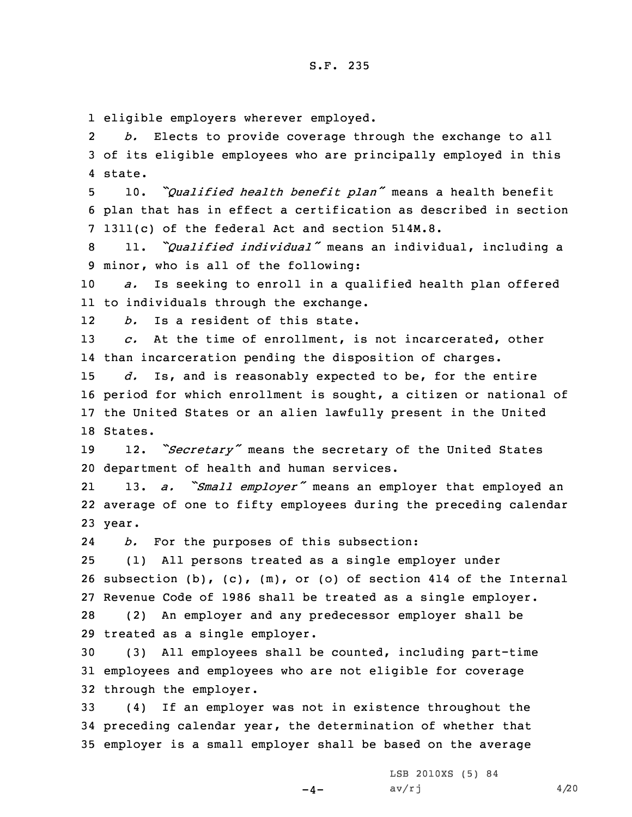1 eligible employers wherever employed.

2 *b.* Elects to provide coverage through the exchange to all 3 of its eligible employees who are principally employed in this 4 state.

<sup>5</sup> 10. *"Qualified health benefit plan"* means <sup>a</sup> health benefit 6 plan that has in effect <sup>a</sup> certification as described in section 7 1311(c) of the federal Act and section 514M.8.

<sup>8</sup> 11. *"Qualified individual"* means an individual, including <sup>a</sup> 9 minor, who is all of the following:

10 *a.* Is seeking to enroll in <sup>a</sup> qualified health plan offered 11 to individuals through the exchange.

12*b.* Is <sup>a</sup> resident of this state.

13 *c.* At the time of enrollment, is not incarcerated, other 14 than incarceration pending the disposition of charges.

 *d.* Is, and is reasonably expected to be, for the entire period for which enrollment is sought, <sup>a</sup> citizen or national of the United States or an alien lawfully present in the United 18 States.

<sup>19</sup> 12. *"Secretary"* means the secretary of the United States 20 department of health and human services.

21 13. *a. "Small employer"* means an employer that employed an 22 average of one to fifty employees during the preceding calendar 23 year.

24*b.* For the purposes of this subsection:

 (1) All persons treated as <sup>a</sup> single employer under subsection (b), (c), (m), or (o) of section 414 of the Internal Revenue Code of 1986 shall be treated as <sup>a</sup> single employer. (2) An employer and any predecessor employer shall be treated as <sup>a</sup> single employer.

30 (3) All employees shall be counted, including part-time 31 employees and employees who are not eligible for coverage 32 through the employer.

33 (4) If an employer was not in existence throughout the 34 preceding calendar year, the determination of whether that 35 employer is <sup>a</sup> small employer shall be based on the average

 $-4-$ 

LSB 2010XS (5) 84  $av/rj$  4/20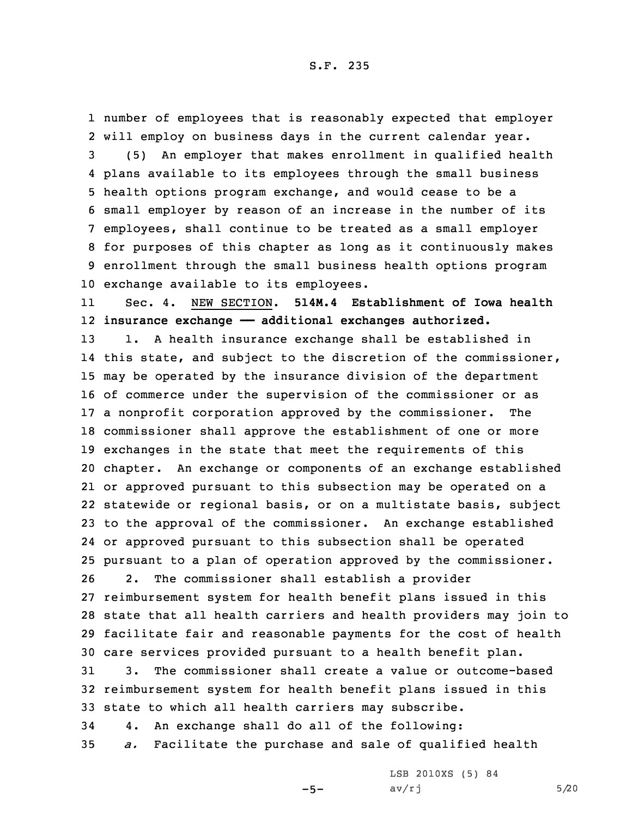number of employees that is reasonably expected that employer will employ on business days in the current calendar year. (5) An employer that makes enrollment in qualified health plans available to its employees through the small business health options program exchange, and would cease to be <sup>a</sup> small employer by reason of an increase in the number of its employees, shall continue to be treated as <sup>a</sup> small employer for purposes of this chapter as long as it continuously makes enrollment through the small business health options program exchange available to its employees.

11 Sec. 4. NEW SECTION. **514M.4 Establishment of Iowa health** 12 **insurance exchange —— additional exchanges authorized.**

 1. <sup>A</sup> health insurance exchange shall be established in 14 this state, and subject to the discretion of the commissioner, may be operated by the insurance division of the department of commerce under the supervision of the commissioner or as <sup>a</sup> nonprofit corporation approved by the commissioner. The commissioner shall approve the establishment of one or more exchanges in the state that meet the requirements of this chapter. An exchange or components of an exchange established or approved pursuant to this subsection may be operated on <sup>a</sup> statewide or regional basis, or on <sup>a</sup> multistate basis, subject to the approval of the commissioner. An exchange established or approved pursuant to this subsection shall be operated pursuant to <sup>a</sup> plan of operation approved by the commissioner. 2. The commissioner shall establish <sup>a</sup> provider

 reimbursement system for health benefit plans issued in this state that all health carriers and health providers may join to facilitate fair and reasonable payments for the cost of health care services provided pursuant to <sup>a</sup> health benefit plan.

31 3. The commissioner shall create <sup>a</sup> value or outcome-based 32 reimbursement system for health benefit plans issued in this 33 state to which all health carriers may subscribe.

34 4. An exchange shall do all of the following:

35 *a.* Facilitate the purchase and sale of qualified health

 $-5-$ 

LSB 2010XS (5) 84  $av/rj$  5/20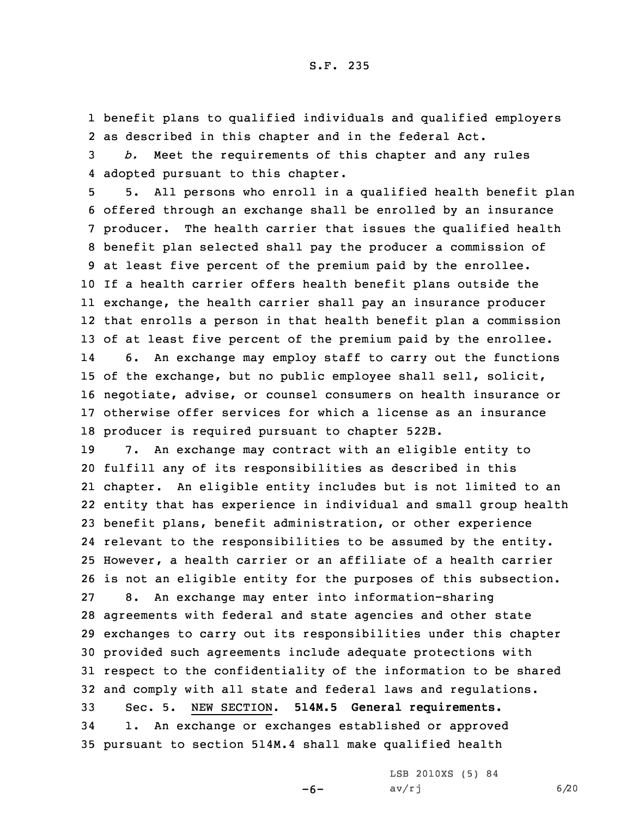1 benefit plans to qualified individuals and qualified employers 2 as described in this chapter and in the federal Act.

3 *b.* Meet the requirements of this chapter and any rules 4 adopted pursuant to this chapter.

 5. All persons who enroll in <sup>a</sup> qualified health benefit plan offered through an exchange shall be enrolled by an insurance producer. The health carrier that issues the qualified health benefit plan selected shall pay the producer <sup>a</sup> commission of at least five percent of the premium paid by the enrollee. If <sup>a</sup> health carrier offers health benefit plans outside the exchange, the health carrier shall pay an insurance producer that enrolls <sup>a</sup> person in that health benefit plan <sup>a</sup> commission of at least five percent of the premium paid by the enrollee. 14 6. An exchange may employ staff to carry out the functions of the exchange, but no public employee shall sell, solicit, negotiate, advise, or counsel consumers on health insurance or otherwise offer services for which <sup>a</sup> license as an insurance producer is required pursuant to chapter 522B.

 7. An exchange may contract with an eligible entity to fulfill any of its responsibilities as described in this chapter. An eligible entity includes but is not limited to an entity that has experience in individual and small group health benefit plans, benefit administration, or other experience relevant to the responsibilities to be assumed by the entity. However, <sup>a</sup> health carrier or an affiliate of <sup>a</sup> health carrier is not an eligible entity for the purposes of this subsection. 8. An exchange may enter into information-sharing agreements with federal and state agencies and other state exchanges to carry out its responsibilities under this chapter provided such agreements include adequate protections with respect to the confidentiality of the information to be shared and comply with all state and federal laws and regulations. Sec. 5. NEW SECTION. **514M.5 General requirements.** 1. An exchange or exchanges established or approved pursuant to section 514M.4 shall make qualified health

 $-6-$ 

LSB 2010XS (5) 84  $av/rj$  6/20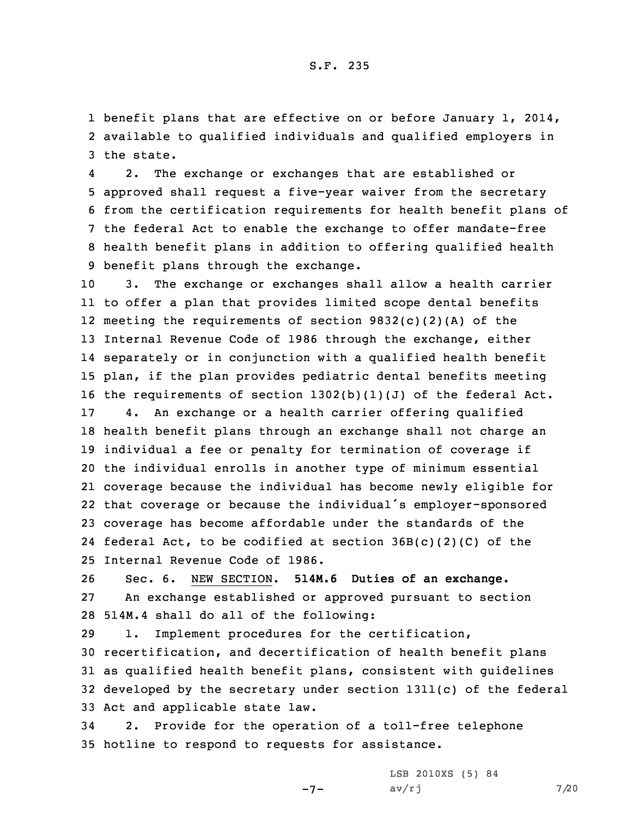1 benefit plans that are effective on or before January 1, 2014, 2 available to qualified individuals and qualified employers in 3 the state.

4 2. The exchange or exchanges that are established or approved shall request <sup>a</sup> five-year waiver from the secretary from the certification requirements for health benefit plans of the federal Act to enable the exchange to offer mandate-free health benefit plans in addition to offering qualified health benefit plans through the exchange.

 3. The exchange or exchanges shall allow <sup>a</sup> health carrier to offer <sup>a</sup> plan that provides limited scope dental benefits meeting the requirements of section 9832(c)(2)(A) of the Internal Revenue Code of 1986 through the exchange, either separately or in conjunction with <sup>a</sup> qualified health benefit plan, if the plan provides pediatric dental benefits meeting the requirements of section 1302(b)(1)(J) of the federal Act.

 4. An exchange or <sup>a</sup> health carrier offering qualified health benefit plans through an exchange shall not charge an individual <sup>a</sup> fee or penalty for termination of coverage if the individual enrolls in another type of minimum essential coverage because the individual has become newly eligible for that coverage or because the individual's employer-sponsored coverage has become affordable under the standards of the federal Act, to be codified at section 36B(c)(2)(C) of the Internal Revenue Code of 1986.

26 Sec. 6. NEW SECTION. **514M.6 Duties of an exchange.** 27 An exchange established or approved pursuant to section 28 514M.4 shall do all of the following:

 1. Implement procedures for the certification, recertification, and decertification of health benefit plans as qualified health benefit plans, consistent with guidelines developed by the secretary under section 1311(c) of the federal Act and applicable state law.

34 2. Provide for the operation of <sup>a</sup> toll-free telephone 35 hotline to respond to requests for assistance.

 $-7-$ 

LSB 2010XS (5) 84  $av/rj$  7/20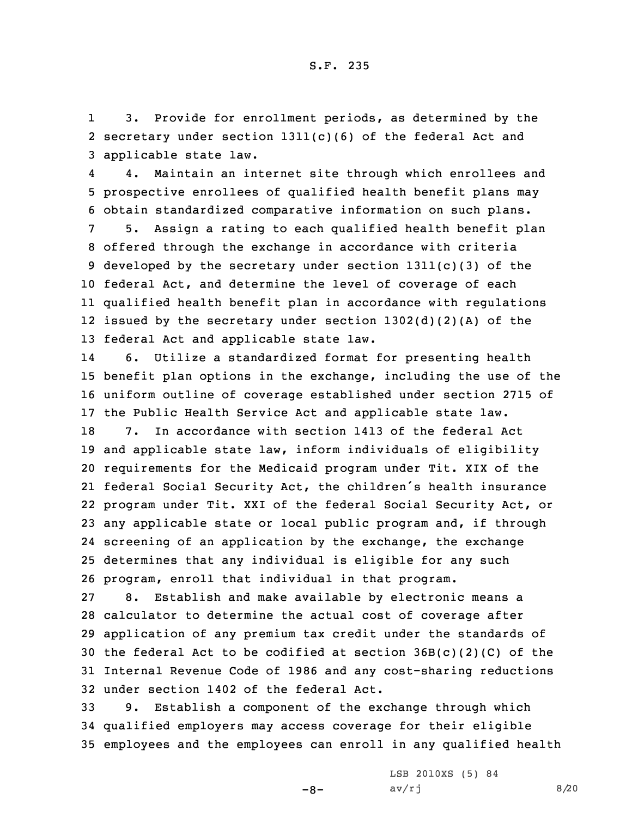1 3. Provide for enrollment periods, as determined by the 2 secretary under section 1311(c)(6) of the federal Act and 3 applicable state law.

4 4. Maintain an internet site through which enrollees and 5 prospective enrollees of qualified health benefit plans may 6 obtain standardized comparative information on such plans.

 5. Assign <sup>a</sup> rating to each qualified health benefit plan offered through the exchange in accordance with criteria 9 developed by the secretary under section  $1311(c)(3)$  of the federal Act, and determine the level of coverage of each qualified health benefit plan in accordance with regulations issued by the secretary under section 1302(d)(2)(A) of the federal Act and applicable state law.

14 6. Utilize <sup>a</sup> standardized format for presenting health 15 benefit plan options in the exchange, including the use of the 16 uniform outline of coverage established under section 2715 of 17 the Public Health Service Act and applicable state law.

 7. In accordance with section 1413 of the federal Act and applicable state law, inform individuals of eligibility requirements for the Medicaid program under Tit. XIX of the federal Social Security Act, the children's health insurance program under Tit. XXI of the federal Social Security Act, or any applicable state or local public program and, if through screening of an application by the exchange, the exchange determines that any individual is eligible for any such program, enroll that individual in that program.

 8. Establish and make available by electronic means <sup>a</sup> calculator to determine the actual cost of coverage after application of any premium tax credit under the standards of the federal Act to be codified at section 36B(c)(2)(C) of the Internal Revenue Code of 1986 and any cost-sharing reductions under section 1402 of the federal Act.

33 9. Establish <sup>a</sup> component of the exchange through which 34 qualified employers may access coverage for their eligible 35 employees and the employees can enroll in any qualified health

 $-8-$ 

LSB 2010XS (5) 84  $av/rj$  8/20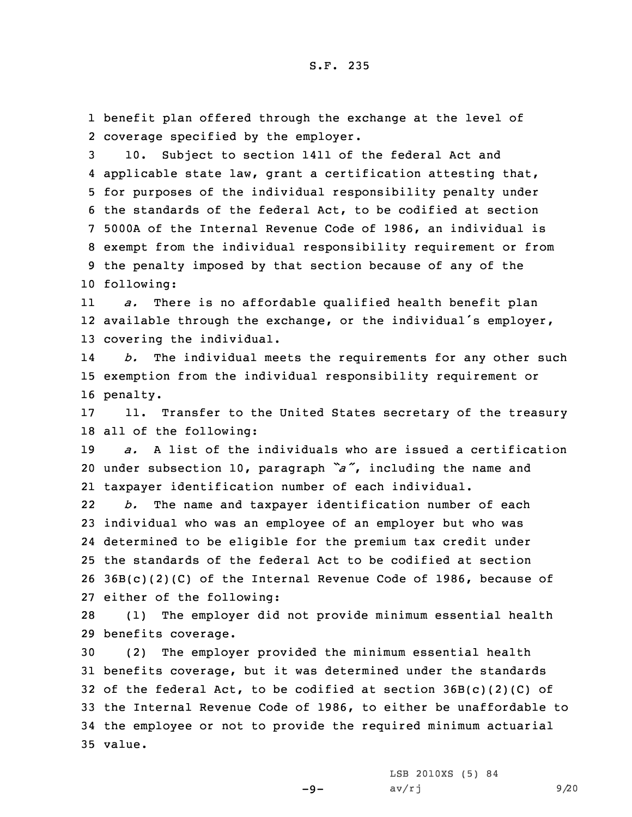1 benefit plan offered through the exchange at the level of 2 coverage specified by the employer.

 10. Subject to section 1411 of the federal Act and applicable state law, grant <sup>a</sup> certification attesting that, for purposes of the individual responsibility penalty under the standards of the federal Act, to be codified at section 5000A of the Internal Revenue Code of 1986, an individual is exempt from the individual responsibility requirement or from the penalty imposed by that section because of any of the following:

11 *a.* There is no affordable qualified health benefit plan 12 available through the exchange, or the individual's employer, 13 covering the individual.

14 *b.* The individual meets the requirements for any other such 15 exemption from the individual responsibility requirement or 16 penalty.

17 11. Transfer to the United States secretary of the treasury 18 all of the following:

19 *a.* A list of the individuals who are issued <sup>a</sup> certification <sup>20</sup> under subsection 10, paragraph *"a"*, including the name and 21 taxpayer identification number of each individual.

22 *b.* The name and taxpayer identification number of each individual who was an employee of an employer but who was determined to be eligible for the premium tax credit under the standards of the federal Act to be codified at section 36B(c)(2)(C) of the Internal Revenue Code of 1986, because of either of the following:

28 (1) The employer did not provide minimum essential health 29 benefits coverage.

 (2) The employer provided the minimum essential health benefits coverage, but it was determined under the standards 32 of the federal Act, to be codified at section  $36B(c)(2)(C)$  of the Internal Revenue Code of 1986, to either be unaffordable to the employee or not to provide the required minimum actuarial 35 value.

-9-

LSB 2010XS (5) 84  $av/rj$  9/20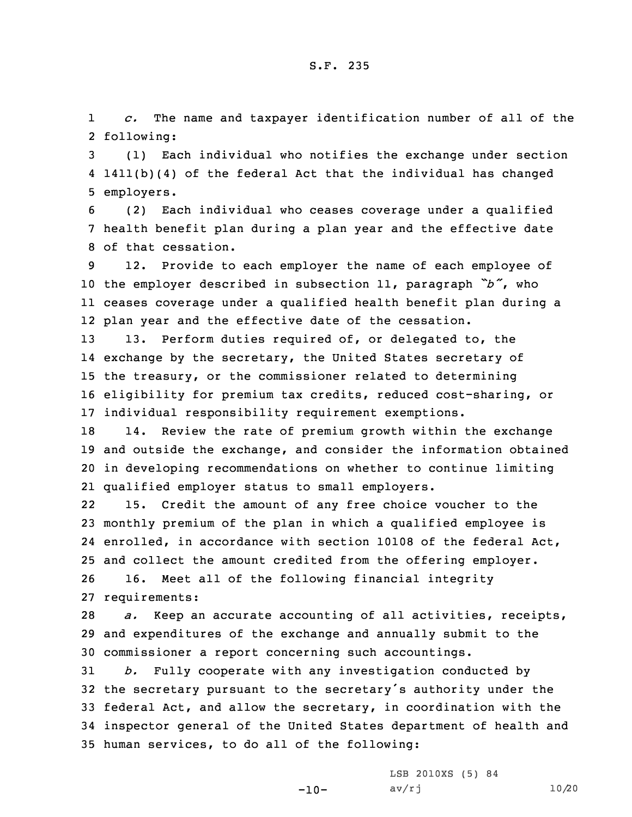1 *c.* The name and taxpayer identification number of all of the 2 following:

3 (1) Each individual who notifies the exchange under section 4 1411(b)(4) of the federal Act that the individual has changed 5 employers.

6 (2) Each individual who ceases coverage under <sup>a</sup> qualified 7 health benefit plan during <sup>a</sup> plan year and the effective date 8 of that cessation.

 12. Provide to each employer the name of each employee of the employer described in subsection 11, paragraph *"b"*, who ceases coverage under <sup>a</sup> qualified health benefit plan during <sup>a</sup> plan year and the effective date of the cessation.

 13. Perform duties required of, or delegated to, the exchange by the secretary, the United States secretary of the treasury, or the commissioner related to determining eligibility for premium tax credits, reduced cost-sharing, or individual responsibility requirement exemptions.

 14. Review the rate of premium growth within the exchange and outside the exchange, and consider the information obtained in developing recommendations on whether to continue limiting qualified employer status to small employers.

22 15. Credit the amount of any free choice voucher to the monthly premium of the plan in which <sup>a</sup> qualified employee is enrolled, in accordance with section 10108 of the federal Act, and collect the amount credited from the offering employer. 16. Meet all of the following financial integrity

27 requirements:

28 *a.* Keep an accurate accounting of all activities, receipts, 29 and expenditures of the exchange and annually submit to the 30 commissioner <sup>a</sup> report concerning such accountings.

 *b.* Fully cooperate with any investigation conducted by the secretary pursuant to the secretary's authority under the federal Act, and allow the secretary, in coordination with the inspector general of the United States department of health and human services, to do all of the following:

-10-

LSB 2010XS (5) 84 av/rj 10/20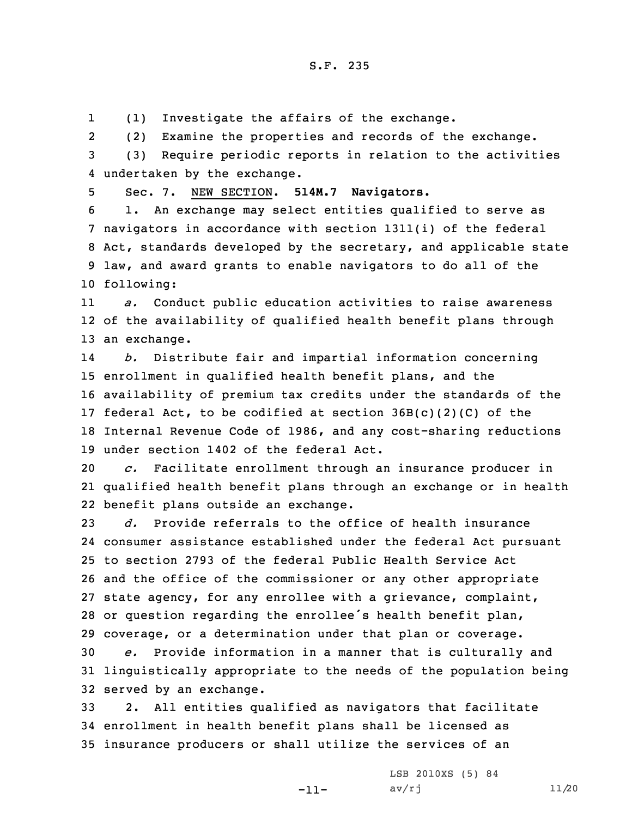1(1) Investigate the affairs of the exchange.

2(2) Examine the properties and records of the exchange.

3 (3) Require periodic reports in relation to the activities 4 undertaken by the exchange.

5 Sec. 7. NEW SECTION. **514M.7 Navigators.**

 1. An exchange may select entities qualified to serve as navigators in accordance with section 1311(i) of the federal Act, standards developed by the secretary, and applicable state law, and award grants to enable navigators to do all of the following:

11 *a.* Conduct public education activities to raise awareness 12 of the availability of qualified health benefit plans through 13 an exchange.

14 *b.* Distribute fair and impartial information concerning 15 enrollment in qualified health benefit plans, and the 16 availability of premium tax credits under the standards of the 17 federal Act, to be codified at section  $36B(c)(2)(C)$  of the 18 Internal Revenue Code of 1986, and any cost-sharing reductions 19 under section 1402 of the federal Act.

20 *c.* Facilitate enrollment through an insurance producer in 21 qualified health benefit plans through an exchange or in health 22 benefit plans outside an exchange.

 *d.* Provide referrals to the office of health insurance consumer assistance established under the federal Act pursuant to section 2793 of the federal Public Health Service Act and the office of the commissioner or any other appropriate state agency, for any enrollee with <sup>a</sup> grievance, complaint, or question regarding the enrollee's health benefit plan, coverage, or <sup>a</sup> determination under that plan or coverage.

30 *e.* Provide information in <sup>a</sup> manner that is culturally and 31 linguistically appropriate to the needs of the population being 32 served by an exchange.

33 2. All entities qualified as navigators that facilitate 34 enrollment in health benefit plans shall be licensed as 35 insurance producers or shall utilize the services of an

-11-

LSB 2010XS (5) 84  $av/rj$  11/20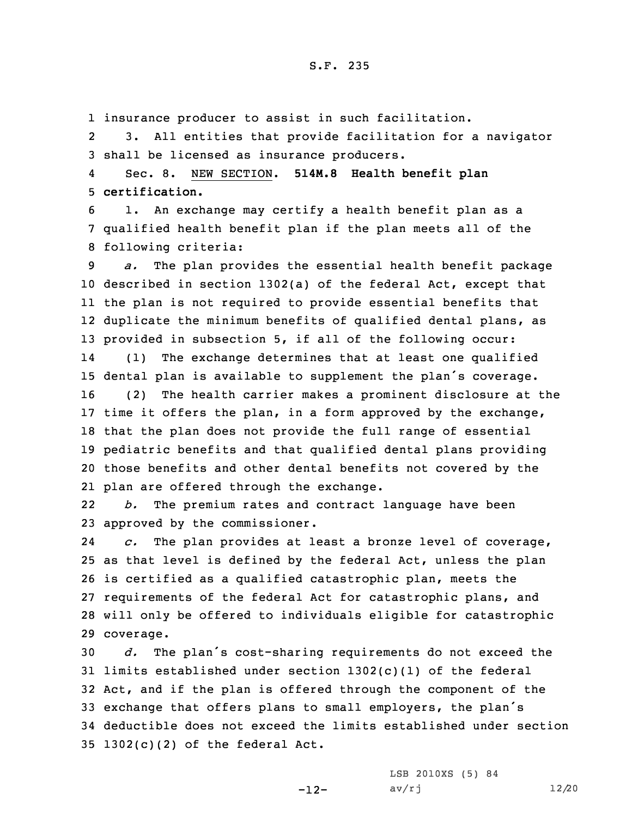1 insurance producer to assist in such facilitation.

2 3. All entities that provide facilitation for <sup>a</sup> navigator 3 shall be licensed as insurance producers.

4 Sec. 8. NEW SECTION. **514M.8 Health benefit plan** 5 **certification.**

6 1. An exchange may certify <sup>a</sup> health benefit plan as <sup>a</sup> 7 qualified health benefit plan if the plan meets all of the 8 following criteria:

 *a.* The plan provides the essential health benefit package described in section 1302(a) of the federal Act, except that the plan is not required to provide essential benefits that duplicate the minimum benefits of qualified dental plans, as provided in subsection 5, if all of the following occur: 14 (1) The exchange determines that at least one qualified dental plan is available to supplement the plan's coverage. (2) The health carrier makes <sup>a</sup> prominent disclosure at the time it offers the plan, in <sup>a</sup> form approved by the exchange, that the plan does not provide the full range of essential pediatric benefits and that qualified dental plans providing those benefits and other dental benefits not covered by the plan are offered through the exchange.

22 *b.* The premium rates and contract language have been 23 approved by the commissioner.

24 *c.* The plan provides at least <sup>a</sup> bronze level of coverage, as that level is defined by the federal Act, unless the plan is certified as <sup>a</sup> qualified catastrophic plan, meets the requirements of the federal Act for catastrophic plans, and will only be offered to individuals eligible for catastrophic coverage.

 *d.* The plan's cost-sharing requirements do not exceed the limits established under section 1302(c)(1) of the federal Act, and if the plan is offered through the component of the exchange that offers plans to small employers, the plan's deductible does not exceed the limits established under section 1302(c)(2) of the federal Act.

-12-

LSB 2010XS (5) 84 av/rj 12/20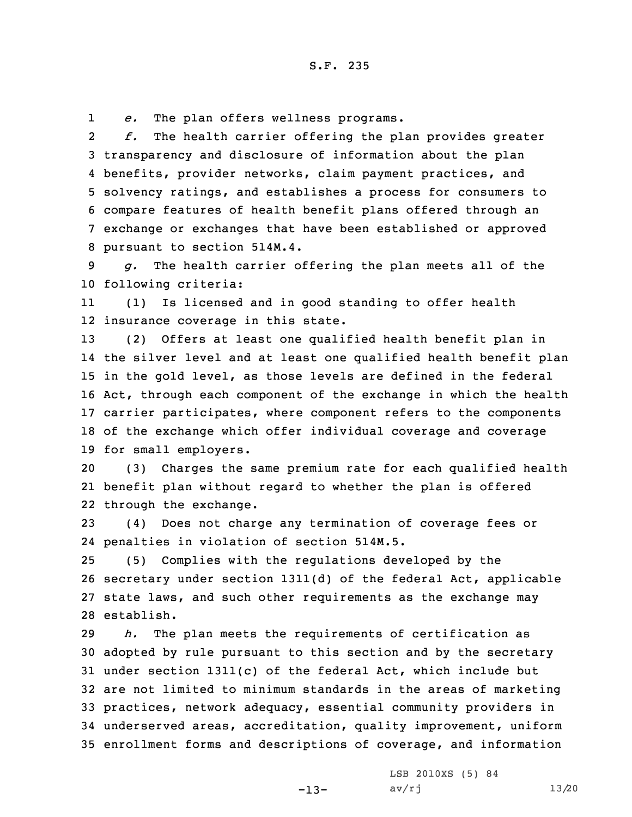1*e.* The plan offers wellness programs.

2 *f.* The health carrier offering the plan provides greater transparency and disclosure of information about the plan benefits, provider networks, claim payment practices, and solvency ratings, and establishes <sup>a</sup> process for consumers to compare features of health benefit plans offered through an exchange or exchanges that have been established or approved pursuant to section 514M.4.

9 *g.* The health carrier offering the plan meets all of the 10 following criteria:

11 (1) Is licensed and in good standing to offer health 12 insurance coverage in this state.

 (2) Offers at least one qualified health benefit plan in the silver level and at least one qualified health benefit plan in the gold level, as those levels are defined in the federal Act, through each component of the exchange in which the health carrier participates, where component refers to the components of the exchange which offer individual coverage and coverage for small employers.

20 (3) Charges the same premium rate for each qualified health 21 benefit plan without regard to whether the plan is offered 22 through the exchange.

23 (4) Does not charge any termination of coverage fees or 24 penalties in violation of section 514M.5.

 (5) Complies with the regulations developed by the secretary under section 1311(d) of the federal Act, applicable state laws, and such other requirements as the exchange may establish.

 *h.* The plan meets the requirements of certification as adopted by rule pursuant to this section and by the secretary under section 1311(c) of the federal Act, which include but are not limited to minimum standards in the areas of marketing practices, network adequacy, essential community providers in underserved areas, accreditation, quality improvement, uniform enrollment forms and descriptions of coverage, and information

-13-

LSB 2010XS (5) 84 av/rj 13/20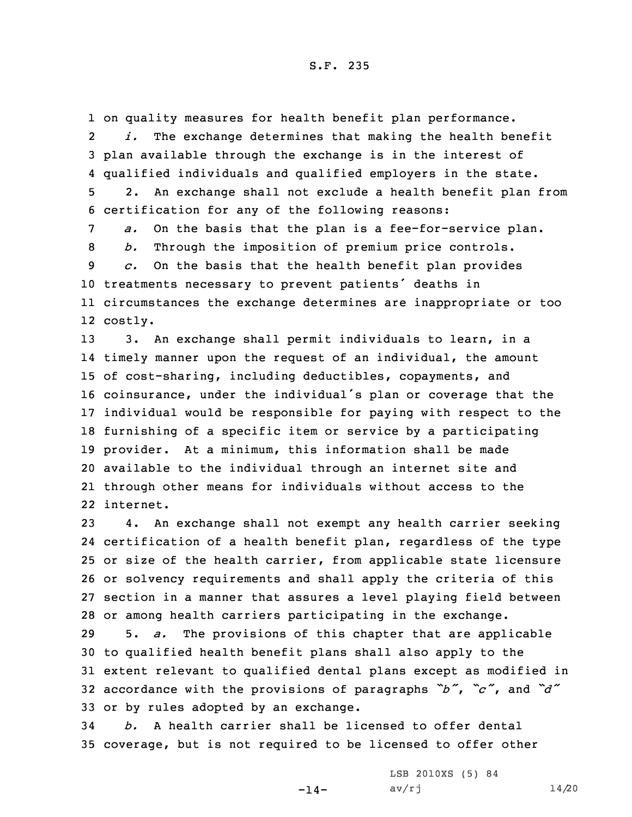1 on quality measures for health benefit plan performance. 2 *i.* The exchange determines that making the health benefit 3 plan available through the exchange is in the interest of 4 qualified individuals and qualified employers in the state.

5 2. An exchange shall not exclude <sup>a</sup> health benefit plan from 6 certification for any of the following reasons:

 *a.* On the basis that the plan is <sup>a</sup> fee-for-service plan. *b.* Through the imposition of premium price controls. *c.* On the basis that the health benefit plan provides treatments necessary to prevent patients' deaths in circumstances the exchange determines are inappropriate or too 12 costly.

 3. An exchange shall permit individuals to learn, in <sup>a</sup> timely manner upon the request of an individual, the amount of cost-sharing, including deductibles, copayments, and coinsurance, under the individual's plan or coverage that the individual would be responsible for paying with respect to the furnishing of <sup>a</sup> specific item or service by <sup>a</sup> participating provider. At <sup>a</sup> minimum, this information shall be made available to the individual through an internet site and through other means for individuals without access to the internet.

 4. An exchange shall not exempt any health carrier seeking certification of <sup>a</sup> health benefit plan, regardless of the type or size of the health carrier, from applicable state licensure or solvency requirements and shall apply the criteria of this section in <sup>a</sup> manner that assures <sup>a</sup> level playing field between or among health carriers participating in the exchange.

 5. *a.* The provisions of this chapter that are applicable to qualified health benefit plans shall also apply to the extent relevant to qualified dental plans except as modified in accordance with the provisions of paragraphs *"b"*, *"c"*, and *"d"* or by rules adopted by an exchange.

34 *b.* A health carrier shall be licensed to offer dental 35 coverage, but is not required to be licensed to offer other

-14-

LSB 2010XS (5) 84  $av/rj$  14/20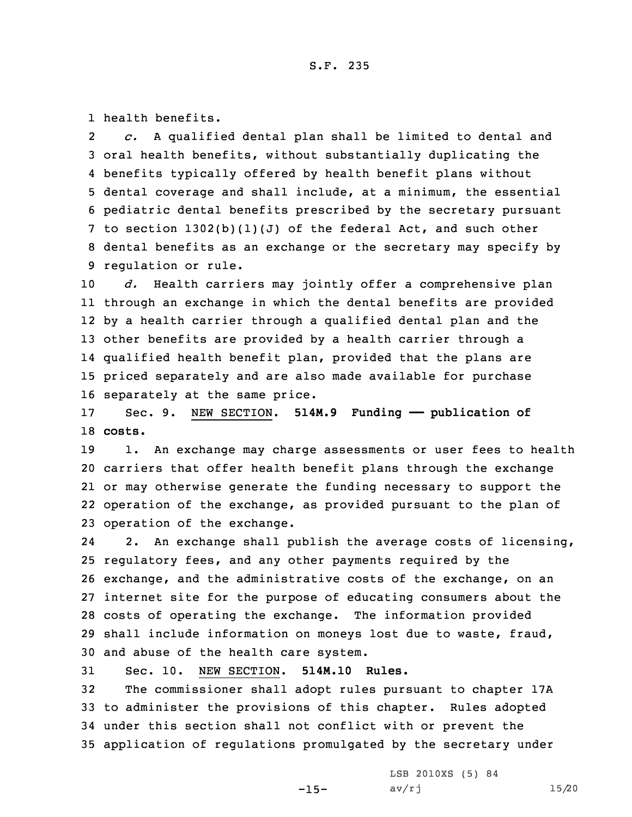1 health benefits.

2 *c.* <sup>A</sup> qualified dental plan shall be limited to dental and oral health benefits, without substantially duplicating the benefits typically offered by health benefit plans without dental coverage and shall include, at <sup>a</sup> minimum, the essential pediatric dental benefits prescribed by the secretary pursuant to section 1302(b)(1)(J) of the federal Act, and such other dental benefits as an exchange or the secretary may specify by regulation or rule.

 *d.* Health carriers may jointly offer <sup>a</sup> comprehensive plan through an exchange in which the dental benefits are provided by <sup>a</sup> health carrier through <sup>a</sup> qualified dental plan and the other benefits are provided by <sup>a</sup> health carrier through <sup>a</sup> qualified health benefit plan, provided that the plans are priced separately and are also made available for purchase separately at the same price.

17 Sec. 9. NEW SECTION. **514M.9 Funding —— publication of** 18 **costs.**

19 1. An exchange may charge assessments or user fees to health carriers that offer health benefit plans through the exchange or may otherwise generate the funding necessary to support the operation of the exchange, as provided pursuant to the plan of operation of the exchange.

24 2. An exchange shall publish the average costs of licensing, regulatory fees, and any other payments required by the exchange, and the administrative costs of the exchange, on an internet site for the purpose of educating consumers about the costs of operating the exchange. The information provided shall include information on moneys lost due to waste, fraud, and abuse of the health care system.

31 Sec. 10. NEW SECTION. **514M.10 Rules.**

 The commissioner shall adopt rules pursuant to chapter 17A to administer the provisions of this chapter. Rules adopted under this section shall not conflict with or prevent the application of regulations promulgated by the secretary under

 $-15-$ 

LSB 2010XS (5) 84 av/rj 15/20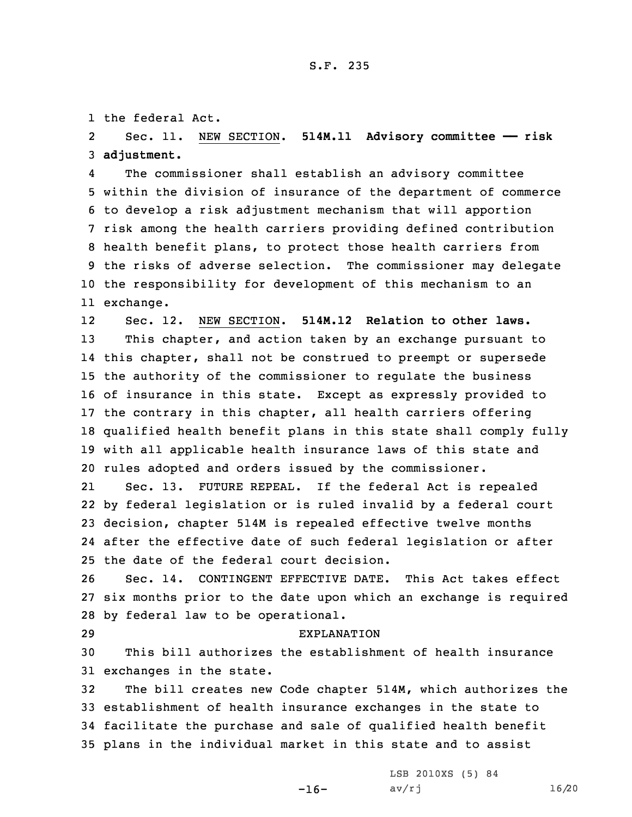1 the federal Act.

2 Sec. 11. NEW SECTION. **514M.11 Advisory committee —— risk** 3 **adjustment.**

4 The commissioner shall establish an advisory committee within the division of insurance of the department of commerce to develop <sup>a</sup> risk adjustment mechanism that will apportion risk among the health carriers providing defined contribution health benefit plans, to protect those health carriers from the risks of adverse selection. The commissioner may delegate the responsibility for development of this mechanism to an exchange.

12 Sec. 12. NEW SECTION. **514M.12 Relation to other laws.** This chapter, and action taken by an exchange pursuant to this chapter, shall not be construed to preempt or supersede the authority of the commissioner to regulate the business of insurance in this state. Except as expressly provided to the contrary in this chapter, all health carriers offering qualified health benefit plans in this state shall comply fully with all applicable health insurance laws of this state and rules adopted and orders issued by the commissioner.

21 Sec. 13. FUTURE REPEAL. If the federal Act is repealed by federal legislation or is ruled invalid by <sup>a</sup> federal court decision, chapter 514M is repealed effective twelve months after the effective date of such federal legislation or after the date of the federal court decision.

26 Sec. 14. CONTINGENT EFFECTIVE DATE. This Act takes effect 27 six months prior to the date upon which an exchange is required 28 by federal law to be operational.

## 29 EXPLANATION

30 This bill authorizes the establishment of health insurance 31 exchanges in the state.

 The bill creates new Code chapter 514M, which authorizes the establishment of health insurance exchanges in the state to facilitate the purchase and sale of qualified health benefit plans in the individual market in this state and to assist

 $-16-$ 

LSB 2010XS (5) 84 av/rj 16/20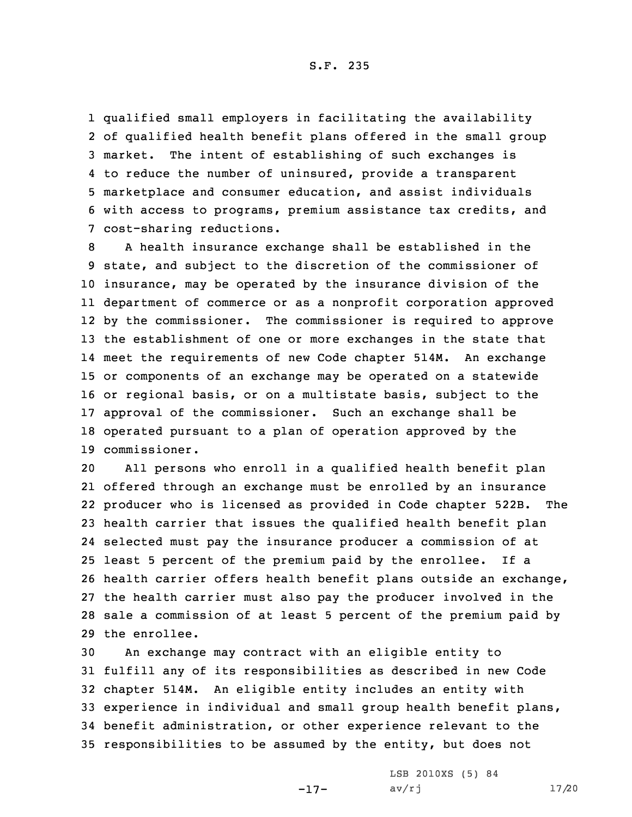S.F. 235

 qualified small employers in facilitating the availability of qualified health benefit plans offered in the small group market. The intent of establishing of such exchanges is to reduce the number of uninsured, provide <sup>a</sup> transparent marketplace and consumer education, and assist individuals with access to programs, premium assistance tax credits, and cost-sharing reductions.

 <sup>A</sup> health insurance exchange shall be established in the state, and subject to the discretion of the commissioner of insurance, may be operated by the insurance division of the department of commerce or as <sup>a</sup> nonprofit corporation approved by the commissioner. The commissioner is required to approve the establishment of one or more exchanges in the state that meet the requirements of new Code chapter 514M. An exchange or components of an exchange may be operated on <sup>a</sup> statewide or regional basis, or on <sup>a</sup> multistate basis, subject to the approval of the commissioner. Such an exchange shall be operated pursuant to <sup>a</sup> plan of operation approved by the commissioner.

 All persons who enroll in <sup>a</sup> qualified health benefit plan offered through an exchange must be enrolled by an insurance producer who is licensed as provided in Code chapter 522B. The health carrier that issues the qualified health benefit plan selected must pay the insurance producer <sup>a</sup> commission of at least 5 percent of the premium paid by the enrollee. If <sup>a</sup> health carrier offers health benefit plans outside an exchange, the health carrier must also pay the producer involved in the sale <sup>a</sup> commission of at least 5 percent of the premium paid by the enrollee.

 An exchange may contract with an eligible entity to fulfill any of its responsibilities as described in new Code chapter 514M. An eligible entity includes an entity with experience in individual and small group health benefit plans, benefit administration, or other experience relevant to the responsibilities to be assumed by the entity, but does not

-17-

LSB 2010XS (5) 84 av/rj 17/20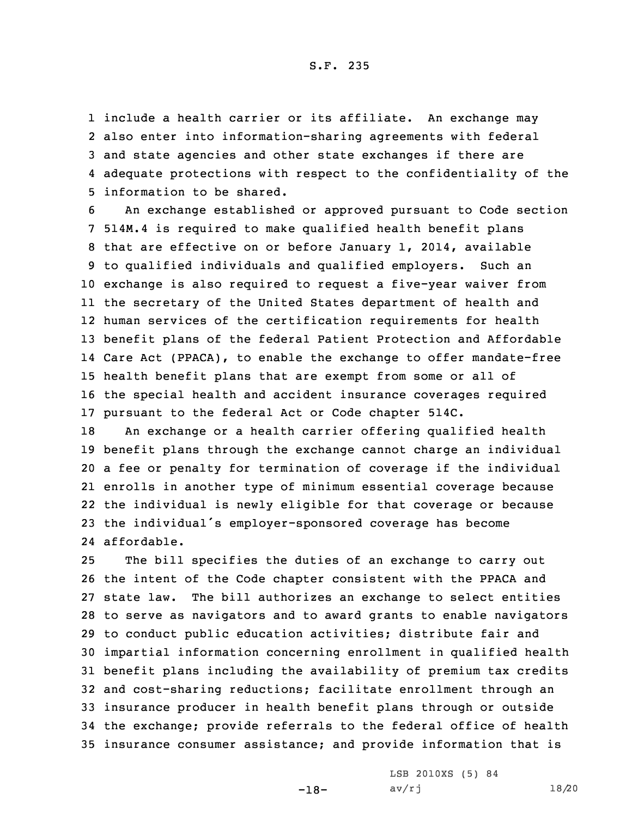S.F. 235

 include <sup>a</sup> health carrier or its affiliate. An exchange may also enter into information-sharing agreements with federal and state agencies and other state exchanges if there are adequate protections with respect to the confidentiality of the information to be shared.

 An exchange established or approved pursuant to Code section 514M.4 is required to make qualified health benefit plans that are effective on or before January 1, 2014, available to qualified individuals and qualified employers. Such an exchange is also required to request <sup>a</sup> five-year waiver from the secretary of the United States department of health and human services of the certification requirements for health benefit plans of the federal Patient Protection and Affordable Care Act (PPACA), to enable the exchange to offer mandate-free health benefit plans that are exempt from some or all of the special health and accident insurance coverages required pursuant to the federal Act or Code chapter 514C.

 An exchange or <sup>a</sup> health carrier offering qualified health benefit plans through the exchange cannot charge an individual <sup>a</sup> fee or penalty for termination of coverage if the individual enrolls in another type of minimum essential coverage because the individual is newly eligible for that coverage or because the individual's employer-sponsored coverage has become affordable.

 The bill specifies the duties of an exchange to carry out the intent of the Code chapter consistent with the PPACA and state law. The bill authorizes an exchange to select entities to serve as navigators and to award grants to enable navigators to conduct public education activities; distribute fair and impartial information concerning enrollment in qualified health benefit plans including the availability of premium tax credits and cost-sharing reductions; facilitate enrollment through an insurance producer in health benefit plans through or outside the exchange; provide referrals to the federal office of health insurance consumer assistance; and provide information that is

-18-

LSB 2010XS (5) 84 av/rj 18/20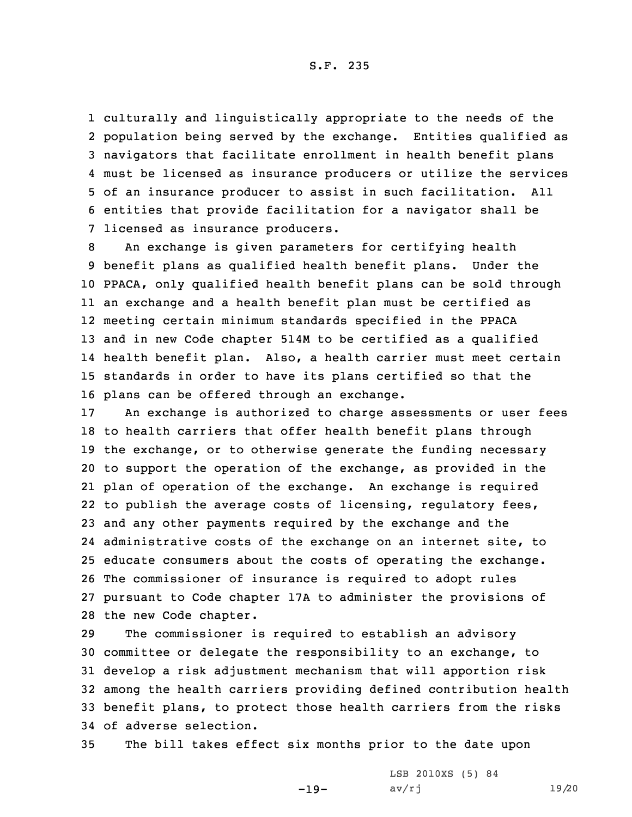S.F. 235

 culturally and linguistically appropriate to the needs of the population being served by the exchange. Entities qualified as navigators that facilitate enrollment in health benefit plans must be licensed as insurance producers or utilize the services of an insurance producer to assist in such facilitation. All entities that provide facilitation for <sup>a</sup> navigator shall be licensed as insurance producers.

 An exchange is given parameters for certifying health benefit plans as qualified health benefit plans. Under the PPACA, only qualified health benefit plans can be sold through an exchange and <sup>a</sup> health benefit plan must be certified as meeting certain minimum standards specified in the PPACA and in new Code chapter 514M to be certified as <sup>a</sup> qualified health benefit plan. Also, <sup>a</sup> health carrier must meet certain standards in order to have its plans certified so that the plans can be offered through an exchange.

 An exchange is authorized to charge assessments or user fees to health carriers that offer health benefit plans through the exchange, or to otherwise generate the funding necessary to support the operation of the exchange, as provided in the plan of operation of the exchange. An exchange is required to publish the average costs of licensing, regulatory fees, and any other payments required by the exchange and the administrative costs of the exchange on an internet site, to educate consumers about the costs of operating the exchange. The commissioner of insurance is required to adopt rules pursuant to Code chapter 17A to administer the provisions of the new Code chapter.

 The commissioner is required to establish an advisory committee or delegate the responsibility to an exchange, to develop <sup>a</sup> risk adjustment mechanism that will apportion risk among the health carriers providing defined contribution health benefit plans, to protect those health carriers from the risks of adverse selection.

35 The bill takes effect six months prior to the date upon

-19-

LSB 2010XS (5) 84 av/rj 19/20